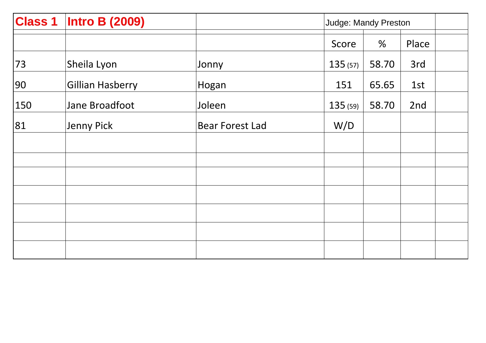| <b>Class 1</b> | <b>Intro B (2009)</b>   |                        |         | Judge: Mandy Preston |       |  |  |
|----------------|-------------------------|------------------------|---------|----------------------|-------|--|--|
|                |                         |                        | Score   | %                    | Place |  |  |
| 73             | Sheila Lyon             | Jonny                  | 135(57) | 58.70                | 3rd   |  |  |
| 90             | <b>Gillian Hasberry</b> | Hogan                  | 151     | 65.65                | 1st   |  |  |
| 150            | Jane Broadfoot          | Joleen                 | 135(59) | 58.70                | 2nd   |  |  |
| 81             | <b>Jenny Pick</b>       | <b>Bear Forest Lad</b> | W/D     |                      |       |  |  |
|                |                         |                        |         |                      |       |  |  |
|                |                         |                        |         |                      |       |  |  |
|                |                         |                        |         |                      |       |  |  |
|                |                         |                        |         |                      |       |  |  |
|                |                         |                        |         |                      |       |  |  |
|                |                         |                        |         |                      |       |  |  |
|                |                         |                        |         |                      |       |  |  |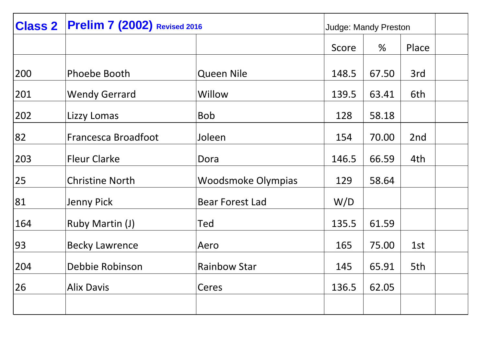| <b>Class 2</b> | <b>Prelim 7 (2002)</b> Revised 2016 |                           | Judge: Mandy Preston |       |       |
|----------------|-------------------------------------|---------------------------|----------------------|-------|-------|
|                |                                     |                           | Score                | %     | Place |
| 200            | Phoebe Booth                        | <b>Queen Nile</b>         | 148.5                | 67.50 | 3rd   |
| 201            | <b>Wendy Gerrard</b>                | Willow                    | 139.5                | 63.41 | 6th   |
| 202            | Lizzy Lomas                         | <b>Bob</b>                | 128                  | 58.18 |       |
| 82             | Francesca Broadfoot                 | Joleen                    | 154                  | 70.00 | 2nd   |
| 203            | <b>Fleur Clarke</b>                 | Dora                      | 146.5                | 66.59 | 4th   |
| 25             | <b>Christine North</b>              | <b>Woodsmoke Olympias</b> | 129                  | 58.64 |       |
| 81             | <b>Jenny Pick</b>                   | <b>Bear Forest Lad</b>    | W/D                  |       |       |
| 164            | Ruby Martin (J)                     | Ted                       | 135.5                | 61.59 |       |
| 93             | <b>Becky Lawrence</b>               | Aero                      | 165                  | 75.00 | 1st   |
| 204            | Debbie Robinson                     | <b>Rainbow Star</b>       | 145                  | 65.91 | 5th   |
| 26             | <b>Alix Davis</b>                   | Ceres                     | 136.5                | 62.05 |       |
|                |                                     |                           |                      |       |       |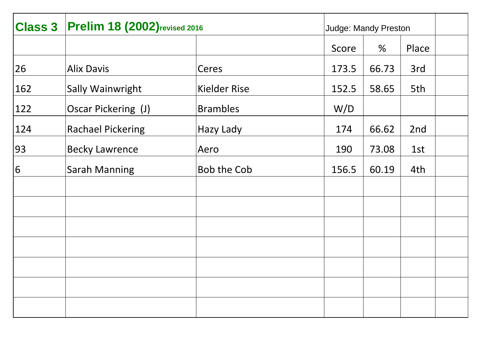| <b>Class 3</b> | <b>Prelim 18 (2002)</b> revised 2016 |                     | <b>Judge: Mandy Preston</b> |       |       |
|----------------|--------------------------------------|---------------------|-----------------------------|-------|-------|
|                |                                      |                     | Score                       | %     | Place |
| 26             | <b>Alix Davis</b>                    | Ceres               | 173.5                       | 66.73 | 3rd   |
| 162            | <b>Sally Wainwright</b>              | <b>Kielder Rise</b> | 152.5                       | 58.65 | 5th   |
| 122            | Oscar Pickering (J)                  | <b>Brambles</b>     | W/D                         |       |       |
| 124            | <b>Rachael Pickering</b>             | Hazy Lady           | 174                         | 66.62 | 2nd   |
| 93             | <b>Becky Lawrence</b>                | Aero                | 190                         | 73.08 | 1st   |
| 6              | <b>Sarah Manning</b>                 | <b>Bob the Cob</b>  | 156.5                       | 60.19 | 4th   |
|                |                                      |                     |                             |       |       |
|                |                                      |                     |                             |       |       |
|                |                                      |                     |                             |       |       |
|                |                                      |                     |                             |       |       |
|                |                                      |                     |                             |       |       |
|                |                                      |                     |                             |       |       |
|                |                                      |                     |                             |       |       |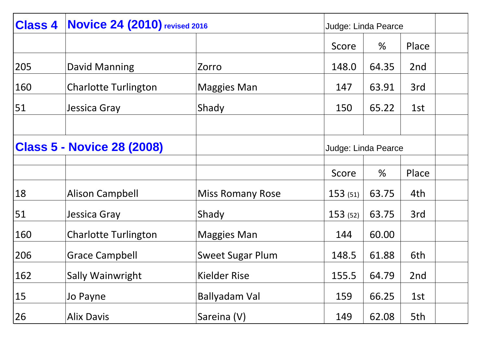| <b>Class 4</b> | <b>Novice 24 (2010)</b> revised 2016                     |                         | Judge: Linda Pearce |       |       |  |
|----------------|----------------------------------------------------------|-------------------------|---------------------|-------|-------|--|
|                |                                                          |                         | Score               | %     | Place |  |
| 205            | David Manning                                            | Zorro                   | 148.0               | 64.35 | 2nd   |  |
| 160            | <b>Charlotte Turlington</b>                              | Maggies Man             | 147                 | 63.91 | 3rd   |  |
| 51             | Jessica Gray                                             | Shady                   | 150                 | 65.22 | 1st   |  |
|                |                                                          |                         |                     |       |       |  |
|                | <b>Class 5 - Novice 28 (2008)</b><br>Judge: Linda Pearce |                         |                     |       |       |  |
|                |                                                          |                         |                     |       |       |  |
|                |                                                          |                         | Score               | $\%$  | Place |  |
| 18             | <b>Alison Campbell</b>                                   | <b>Miss Romany Rose</b> | 153(51)             | 63.75 | 4th   |  |
| 51             | Jessica Gray                                             | Shady                   | 153(52)             | 63.75 | 3rd   |  |
| 160            | <b>Charlotte Turlington</b>                              | Maggies Man             | 144                 | 60.00 |       |  |
| 206            | <b>Grace Campbell</b>                                    | <b>Sweet Sugar Plum</b> | 148.5               | 61.88 | 6th   |  |
| 162            | Sally Wainwright                                         | <b>Kielder Rise</b>     | 155.5               | 64.79 | 2nd   |  |
| 15             | Jo Payne                                                 | Ballyadam Val           | 159                 | 66.25 | 1st   |  |
| 26             | <b>Alix Davis</b>                                        | Sareina (V)             | 149                 | 62.08 | 5th   |  |